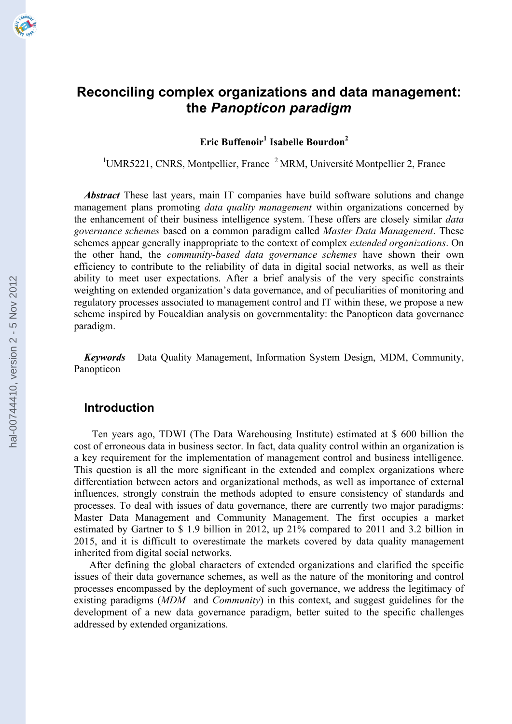# **Reconciling complex organizations and data management: the** *Panopticon paradigm*

# **Eric Buffenoir1 Isabelle Bourdon<sup>2</sup>**

<sup>1</sup>UMR5221, CNRS, Montpellier, France <sup>2</sup> MRM, Université Montpellier 2, France

*Abstract* These last years, main IT companies have build software solutions and change management plans promoting *data quality management* within organizations concerned by the enhancement of their business intelligence system. These offers are closely similar *data governance schemes* based on a common paradigm called *Master Data Management*. These schemes appear generally inappropriate to the context of complex *extended organizations*. On the other hand, the *community-based data governance schemes* have shown their own efficiency to contribute to the reliability of data in digital social networks, as well as their ability to meet user expectations. After a brief analysis of the very specific constraints weighting on extended organization's data governance, and of peculiarities of monitoring and regulatory processes associated to management control and IT within these, we propose a new scheme inspired by Foucaldian analysis on governmentality: the Panopticon data governance paradigm.

*Keywords* Data Quality Management, Information System Design, MDM, Community, Panopticon

## **Introduction**

 Ten years ago, TDWI (The Data Warehousing Institute) estimated at \$ 600 billion the cost of erroneous data in business sector. In fact, data quality control within an organization is a key requirement for the implementation of management control and business intelligence. This question is all the more significant in the extended and complex organizations where differentiation between actors and organizational methods, as well as importance of external influences, strongly constrain the methods adopted to ensure consistency of standards and processes. To deal with issues of data governance, there are currently two major paradigms: Master Data Management and Community Management. The first occupies a market estimated by Gartner to \$ 1.9 billion in 2012, up 21% compared to 2011 and 3.2 billion in 2015, and it is difficult to overestimate the markets covered by data quality management inherited from digital social networks.

 After defining the global characters of extended organizations and clarified the specific issues of their data governance schemes, as well as the nature of the monitoring and control processes encompassed by the deployment of such governance, we address the legitimacy of existing paradigms (*MDM* and *Community*) in this context, and suggest guidelines for the development of a new data governance paradigm, better suited to the specific challenges addressed by extended organizations.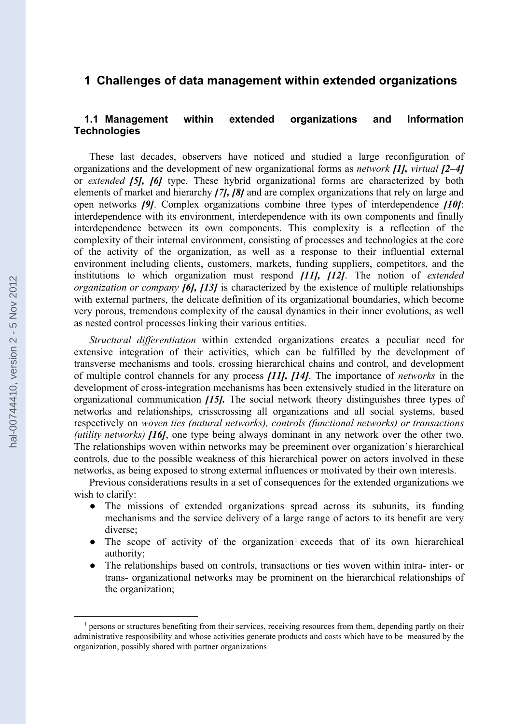# **1 Challenges of data management within extended organizations**

#### **1.1 Management within extended organizations and Information Technologies**

 These last decades, observers have noticed and studied a large reconfiguration of organizations and the development of new organizational forms as *network [1], virtual [2–4]* or *extended [5], [6]* type. These hybrid organizational forms are characterized by both elements of market and hierarchy *[7], [8]* and are complex organizations that rely on large and open networks *[9]*. Complex organizations combine three types of interdependence *[10]*: interdependence with its environment, interdependence with its own components and finally interdependence between its own components. This complexity is a reflection of the complexity of their internal environment, consisting of processes and technologies at the core of the activity of the organization, as well as a response to their influential external environment including clients, customers, markets, funding suppliers, competitors, and the institutions to which organization must respond *[11], [12]*. The notion of *extended organization or company [6], [13]* is characterized by the existence of multiple relationships with external partners, the delicate definition of its organizational boundaries, which become very porous, tremendous complexity of the causal dynamics in their inner evolutions, as well as nested control processes linking their various entities.

 *Structural differentiation* within extended organizations creates a peculiar need for extensive integration of their activities, which can be fulfilled by the development of transverse mechanisms and tools, crossing hierarchical chains and control, and development of multiple control channels for any process *[11], [14]*. The importance of *networks* in the development of cross-integration mechanisms has been extensively studied in the literature on organizational communication *[15].* The social network theory distinguishes three types of networks and relationships, crisscrossing all organizations and all social systems, based respectively on *woven ties (natural networks), controls (functional networks) or transactions (utility networks) [16]*, one type being always dominant in any network over the other two. The relationships woven within networks may be preeminent over organization's hierarchical controls, due to the possible weakness of this hierarchical power on actors involved in these networks, as being exposed to strong external influences or motivated by their own interests.

 Previous considerations results in a set of consequences for the extended organizations we wish to clarify:

- The missions of extended organizations spread across its subunits, its funding mechanisms and the service delivery of a large range of actors to its benefit are very diverse;
- $\bullet$  The scope of activity of the organization<sup>1</sup> exceeds that of its own hierarchical authority;
- The relationships based on controls, transactions or ties woven within intra- inter- or trans- organizational networks may be prominent on the hierarchical relationships of the organization;

 

 $<sup>1</sup>$  persons or structures benefiting from their services, receiving resources from them, depending partly on their</sup> administrative responsibility and whose activities generate products and costs which have to be measured by the organization, possibly shared with partner organizations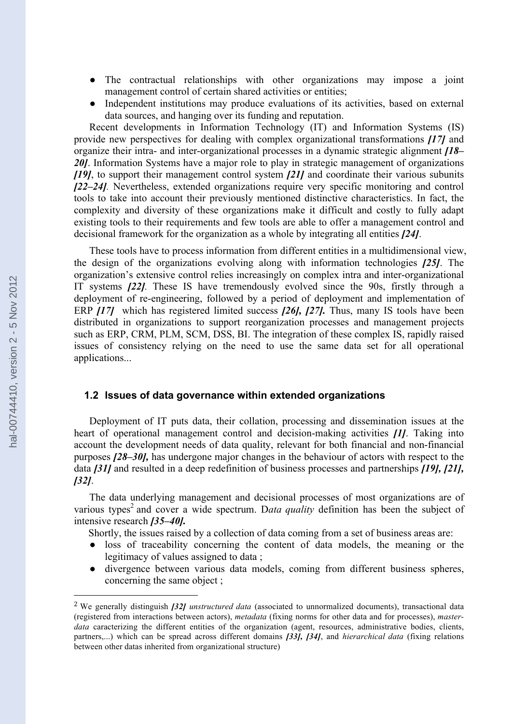- The contractual relationships with other organizations may impose a joint management control of certain shared activities or entities;
- Independent institutions may produce evaluations of its activities, based on external data sources, and hanging over its funding and reputation.

 Recent developments in Information Technology (IT) and Information Systems (IS) provide new perspectives for dealing with complex organizational transformations *[17]* and organize their intra- and inter-organizational processes in a dynamic strategic alignment *[18–* 20*]*. Information Systems have a major role to play in strategic management of organizations *[19]*, to support their management control system *[21]* and coordinate their various subunits *[22–24].* Nevertheless, extended organizations require very specific monitoring and control tools to take into account their previously mentioned distinctive characteristics. In fact, the complexity and diversity of these organizations make it difficult and costly to fully adapt existing tools to their requirements and few tools are able to offer a management control and decisional framework for the organization as a whole by integrating all entities *[24]*.

 These tools have to process information from different entities in a multidimensional view, the design of the organizations evolving along with information technologies *[25]*. The organization's extensive control relies increasingly on complex intra and inter-organizational IT systems *[22].* These IS have tremendously evolved since the 90s, firstly through a deployment of re-engineering, followed by a period of deployment and implementation of ERP *[17]* which has registered limited success *[26], [27]*. Thus, many IS tools have been distributed in organizations to support reorganization processes and management projects such as ERP, CRM, PLM, SCM, DSS, BI. The integration of these complex IS, rapidly raised issues of consistency relying on the need to use the same data set for all operational applications...

#### **1.2 Issues of data governance within extended organizations**

 

 Deployment of IT puts data, their collation, processing and dissemination issues at the heart of operational management control and decision-making activities *[1]*. Taking into account the development needs of data quality, relevant for both financial and non-financial purposes *[28–30],* has undergone major changes in the behaviour of actors with respect to the data *[31]* and resulted in a deep redefinition of business processes and partnerships *[19], [21], [32]*.

 The data underlying management and decisional processes of most organizations are of various types<sup>2</sup> and cover a wide spectrum. Data quality definition has been the subject of intensive research *[35–40].*

Shortly, the issues raised by a collection of data coming from a set of business areas are:

- loss of traceability concerning the content of data models, the meaning or the legitimacy of values assigned to data ;
- divergence between various data models, coming from different business spheres, concerning the same object ;

<sup>2</sup> We generally distinguish *[32] unstructured data* (associated to unnormalized documents), transactional data (registered from interactions between actors), *metadata* (fixing norms for other data and for processes), *masterdata* caracterizing the different entities of the organization (agent, resources, administrative bodies, clients, partners,...) which can be spread across different domains *[33], [34]*, and *hierarchical data* (fixing relations between other datas inherited from organizational structure)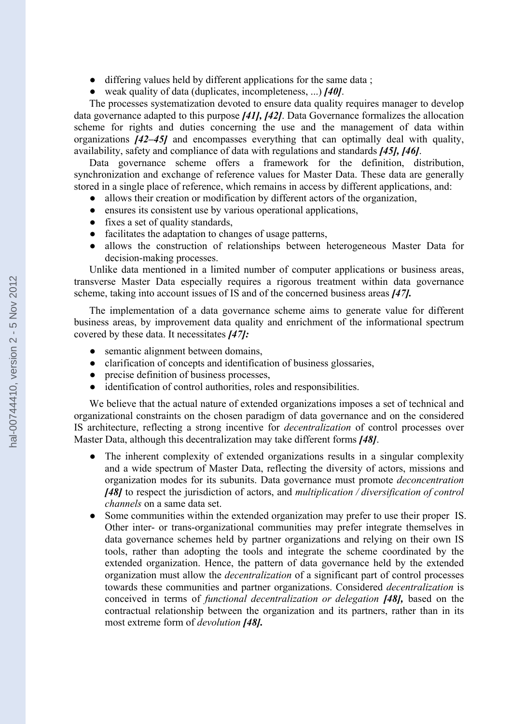- differing values held by different applications for the same data;
- weak quality of data (duplicates, incompleteness, ...) *[40]*.

 The processes systematization devoted to ensure data quality requires manager to develop data governance adapted to this purpose *[41], [42]*. Data Governance formalizes the allocation scheme for rights and duties concerning the use and the management of data within organizations *[42–45]* and encompasses everything that can optimally deal with quality, availability, safety and compliance of data with regulations and standards *[45], [46]*.

 Data governance scheme offers a framework for the definition, distribution, synchronization and exchange of reference values for Master Data. These data are generally stored in a single place of reference, which remains in access by different applications, and:

- allows their creation or modification by different actors of the organization,
- ensures its consistent use by various operational applications,
- fixes a set of quality standards,
- facilitates the adaptation to changes of usage patterns,
- allows the construction of relationships between heterogeneous Master Data for decision-making processes.

 Unlike data mentioned in a limited number of computer applications or business areas, transverse Master Data especially requires a rigorous treatment within data governance scheme, taking into account issues of IS and of the concerned business areas *[47].*

 The implementation of a data governance scheme aims to generate value for different business areas, by improvement data quality and enrichment of the informational spectrum covered by these data. It necessitates *[47]:*

- semantic alignment between domains,
- clarification of concepts and identification of business glossaries,
- precise definition of business processes,
- identification of control authorities, roles and responsibilities.

 We believe that the actual nature of extended organizations imposes a set of technical and organizational constraints on the chosen paradigm of data governance and on the considered IS architecture, reflecting a strong incentive for *decentralization* of control processes over Master Data, although this decentralization may take different forms *[48]*.

- The inherent complexity of extended organizations results in a singular complexity and a wide spectrum of Master Data, reflecting the diversity of actors, missions and organization modes for its subunits. Data governance must promote *deconcentration [48]* to respect the jurisdiction of actors, and *multiplication / diversification of control channels* on a same data set.
- Some communities within the extended organization may prefer to use their proper IS. Other inter- or trans-organizational communities may prefer integrate themselves in data governance schemes held by partner organizations and relying on their own IS tools, rather than adopting the tools and integrate the scheme coordinated by the extended organization. Hence, the pattern of data governance held by the extended organization must allow the *decentralization* of a significant part of control processes towards these communities and partner organizations. Considered *decentralization* is conceived in terms of *functional decentralization or delegation [48],* based on the contractual relationship between the organization and its partners, rather than in its most extreme form of *devolution [48].*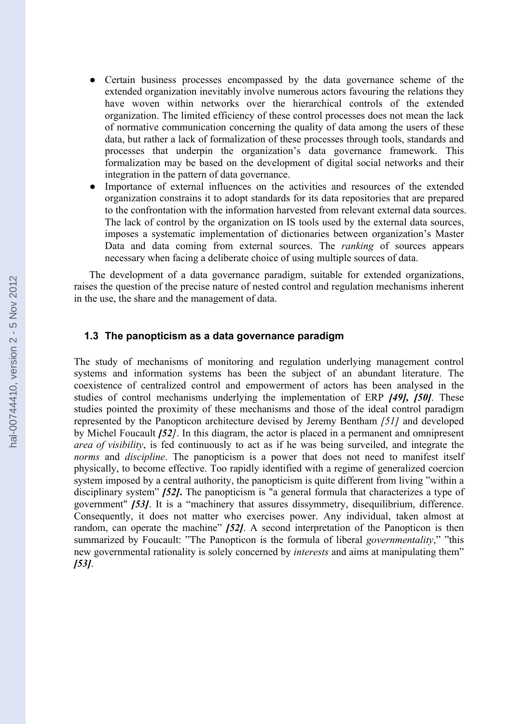- Certain business processes encompassed by the data governance scheme of the extended organization inevitably involve numerous actors favouring the relations they have woven within networks over the hierarchical controls of the extended organization. The limited efficiency of these control processes does not mean the lack of normative communication concerning the quality of data among the users of these data, but rather a lack of formalization of these processes through tools, standards and processes that underpin the organization's data governance framework. This formalization may be based on the development of digital social networks and their integration in the pattern of data governance.
- Importance of external influences on the activities and resources of the extended organization constrains it to adopt standards for its data repositories that are prepared to the confrontation with the information harvested from relevant external data sources. The lack of control by the organization on IS tools used by the external data sources, imposes a systematic implementation of dictionaries between organization's Master Data and data coming from external sources. The *ranking* of sources appears necessary when facing a deliberate choice of using multiple sources of data.

 The development of a data governance paradigm, suitable for extended organizations, raises the question of the precise nature of nested control and regulation mechanisms inherent in the use, the share and the management of data.

## **1.3 The panopticism as a data governance paradigm**

The study of mechanisms of monitoring and regulation underlying management control systems and information systems has been the subject of an abundant literature. The coexistence of centralized control and empowerment of actors has been analysed in the studies of control mechanisms underlying the implementation of ERP *[49], [50]*. These studies pointed the proximity of these mechanisms and those of the ideal control paradigm represented by the Panopticon architecture devised by Jeremy Bentham *[51]* and developed by Michel Foucault *[52]*. In this diagram, the actor is placed in a permanent and omnipresent *area of visibility*, is fed continuously to act as if he was being surveiled, and integrate the *norms* and *discipline*. The panopticism is a power that does not need to manifest itself physically, to become effective. Too rapidly identified with a regime of generalized coercion system imposed by a central authority, the panopticism is quite different from living "within a disciplinary system" *[52]***.** The panopticism is "a general formula that characterizes a type of government" *[53]*. It is a "machinery that assures dissymmetry, disequilibrium, difference. Consequently, it does not matter who exercises power. Any individual, taken almost at random, can operate the machine" **[52]**. A second interpretation of the Panopticon is then summarized by Foucault: "The Panopticon is the formula of liberal *governmentality*," "this new governmental rationality is solely concerned by *interests* and aims at manipulating them" *[53]*.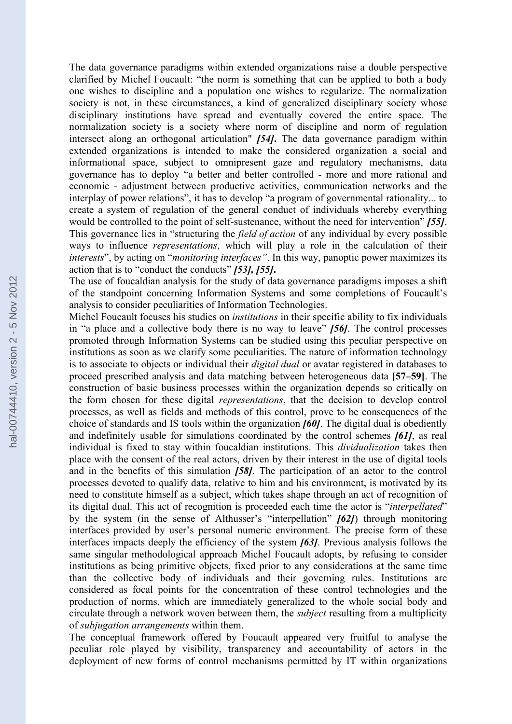The data governance paradigms within extended organizations raise a double perspective clarified by Michel Foucault: "the norm is something that can be applied to both a body one wishes to discipline and a population one wishes to regularize. The normalization society is not, in these circumstances, a kind of generalized disciplinary society whose disciplinary institutions have spread and eventually covered the entire space. The normalization society is a society where norm of discipline and norm of regulation intersect along an orthogonal articulation" *[54]***.** The data governance paradigm within extended organizations is intended to make the considered organization a social and informational space, subject to omnipresent gaze and regulatory mechanisms, data governance has to deploy "a better and better controlled - more and more rational and economic - adjustment between productive activities, communication networks and the interplay of power relations", it has to develop "a program of governmental rationality... to create a system of regulation of the general conduct of individuals whereby everything would be controlled to the point of self-sustenance, without the need for intervention" *[55]*. This governance lies in "structuring the *field of action* of any individual by every possible ways to influence *representations*, which will play a role in the calculation of their *interests*", by acting on "*monitoring interfaces"*. In this way, panoptic power maximizes its action that is to "conduct the conducts" *[53], [55]***.**

The use of foucaldian analysis for the study of data governance paradigms imposes a shift of the standpoint concerning Information Systems and some completions of Foucault's analysis to consider peculiarities of Information Technologies.

Michel Foucault focuses his studies on *institutions* in their specific ability to fix individuals in "a place and a collective body there is no way to leave" *[56]*. The control processes promoted through Information Systems can be studied using this peculiar perspective on institutions as soon as we clarify some peculiarities. The nature of information technology is to associate to objects or individual their *digital dual* or avatar registered in databases to proceed prescribed analysis and data matching between heterogeneous data **[57–59]**. The construction of basic business processes within the organization depends so critically on the form chosen for these digital *representations*, that the decision to develop control processes, as well as fields and methods of this control, prove to be consequences of the choice of standards and IS tools within the organization *[60]*. The digital dual is obediently and indefinitely usable for simulations coordinated by the control schemes *[61]*, as real individual is fixed to stay within foucaldian institutions. This *dividualization* takes then place with the consent of the real actors, driven by their interest in the use of digital tools and in the benefits of this simulation *[58]*. The participation of an actor to the control processes devoted to qualify data, relative to him and his environment, is motivated by its need to constitute himself as a subject, which takes shape through an act of recognition of its digital dual. This act of recognition is proceeded each time the actor is "*interpellated*" by the system (in the sense of Althusser's "interpellation" *[62]*) through monitoring interfaces provided by user's personal numeric environment. The precise form of these interfaces impacts deeply the efficiency of the system *[63]*. Previous analysis follows the same singular methodological approach Michel Foucault adopts, by refusing to consider institutions as being primitive objects, fixed prior to any considerations at the same time than the collective body of individuals and their governing rules. Institutions are considered as focal points for the concentration of these control technologies and the production of norms, which are immediately generalized to the whole social body and circulate through a network woven between them, the *subject* resulting from a multiplicity of *subjugation arrangements* within them.

The conceptual framework offered by Foucault appeared very fruitful to analyse the peculiar role played by visibility, transparency and accountability of actors in the deployment of new forms of control mechanisms permitted by IT within organizations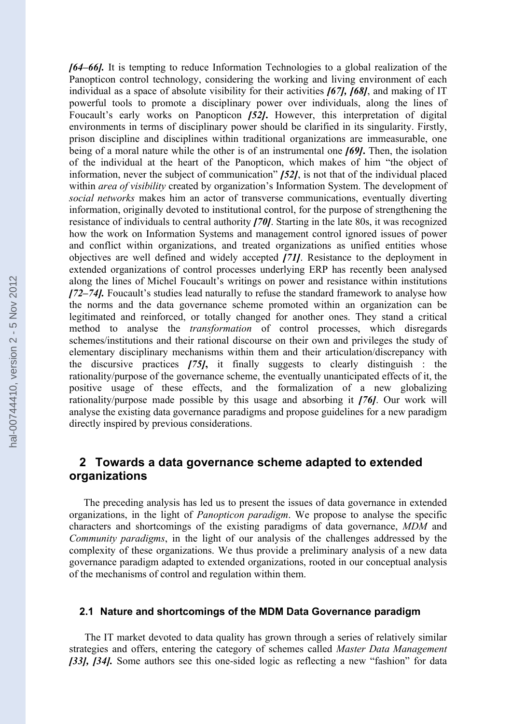*[64–66].* It is tempting to reduce Information Technologies to a global realization of the Panopticon control technology, considering the working and living environment of each individual as a space of absolute visibility for their activities *[67], [68]*, and making of IT powerful tools to promote a disciplinary power over individuals, along the lines of Foucault's early works on Panopticon *[52]***.** However, this interpretation of digital environments in terms of disciplinary power should be clarified in its singularity. Firstly, prison discipline and disciplines within traditional organizations are immeasurable, one being of a moral nature while the other is of an instrumental one *[69]***.** Then, the isolation of the individual at the heart of the Panopticon, which makes of him "the object of information, never the subject of communication" *[52]*, is not that of the individual placed within *area of visibility* created by organization's Information System. The development of *social networks* makes him an actor of transverse communications, eventually diverting information, originally devoted to institutional control, for the purpose of strengthening the resistance of individuals to central authority *[70]*. Starting in the late 80s, it was recognized how the work on Information Systems and management control ignored issues of power and conflict within organizations, and treated organizations as unified entities whose objectives are well defined and widely accepted *[71]*. Resistance to the deployment in extended organizations of control processes underlying ERP has recently been analysed along the lines of Michel Foucault's writings on power and resistance within institutions *[72–74].* Foucault's studies lead naturally to refuse the standard framework to analyse how the norms and the data governance scheme promoted within an organization can be legitimated and reinforced, or totally changed for another ones. They stand a critical method to analyse the *transformation* of control processes, which disregards schemes/institutions and their rational discourse on their own and privileges the study of elementary disciplinary mechanisms within them and their articulation/discrepancy with the discursive practices *[75]***,** it finally suggests to clearly distinguish : the rationality/purpose of the governance scheme, the eventually unanticipated effects of it, the positive usage of these effects, and the formalization of a new globalizing rationality/purpose made possible by this usage and absorbing it *[76]*. Our work will analyse the existing data governance paradigms and propose guidelines for a new paradigm directly inspired by previous considerations.

# **2 Towards a data governance scheme adapted to extended organizations**

 The preceding analysis has led us to present the issues of data governance in extended organizations, in the light of *Panopticon paradigm*. We propose to analyse the specific characters and shortcomings of the existing paradigms of data governance, *MDM* and *Community paradigms*, in the light of our analysis of the challenges addressed by the complexity of these organizations. We thus provide a preliminary analysis of a new data governance paradigm adapted to extended organizations, rooted in our conceptual analysis of the mechanisms of control and regulation within them.

#### **2.1 Nature and shortcomings of the MDM Data Governance paradigm**

 The IT market devoted to data quality has grown through a series of relatively similar strategies and offers, entering the category of schemes called *Master Data Management [33], [34].* Some authors see this one-sided logic as reflecting a new "fashion" for data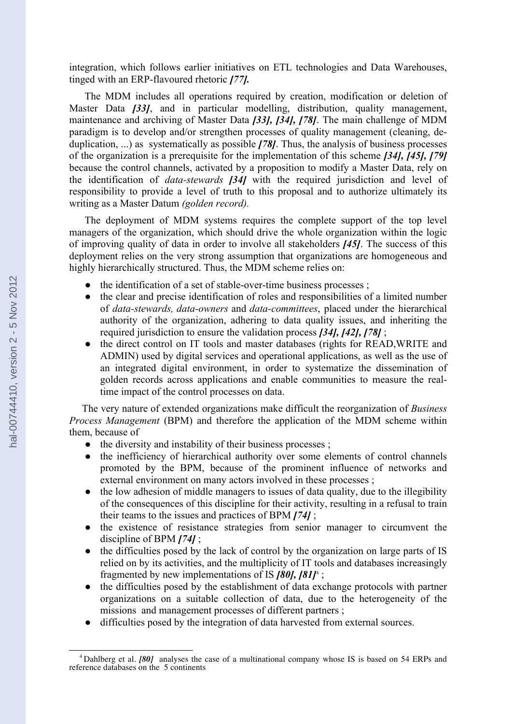integration, which follows earlier initiatives on ETL technologies and Data Warehouses, tinged with an ERP-flavoured rhetoric *[77].*

 The MDM includes all operations required by creation, modification or deletion of Master Data *[33]*, and in particular modelling, distribution, quality management, maintenance and archiving of Master Data *[33], [34], [78]*. The main challenge of MDM paradigm is to develop and/or strengthen processes of quality management (cleaning, deduplication, ...) as systematically as possible *[78]*. Thus, the analysis of business processes of the organization is a prerequisite for the implementation of this scheme *[34], [45], [79]* because the control channels, activated by a proposition to modify a Master Data, rely on the identification of *data-stewards [34]* with the required jurisdiction and level of responsibility to provide a level of truth to this proposal and to authorize ultimately its writing as a Master Datum *(golden record).*

 The deployment of MDM systems requires the complete support of the top level managers of the organization, which should drive the whole organization within the logic of improving quality of data in order to involve all stakeholders *[45]*. The success of this deployment relies on the very strong assumption that organizations are homogeneous and highly hierarchically structured. Thus, the MDM scheme relies on:

- the identification of a set of stable-over-time business processes;
- the clear and precise identification of roles and responsibilities of a limited number of *data-stewards, data-owners* and *data-committees*, placed under the hierarchical authority of the organization, adhering to data quality issues, and inheriting the required jurisdiction to ensure the validation process *[34], [42], [78]* ;
- the direct control on IT tools and master databases (rights for READ, WRITE and ADMIN) used by digital services and operational applications, as well as the use of an integrated digital environment, in order to systematize the dissemination of golden records across applications and enable communities to measure the realtime impact of the control processes on data.

The very nature of extended organizations make difficult the reorganization of *Business Process Management* (BPM) and therefore the application of the MDM scheme within them, because of

- the diversity and instability of their business processes;
- the inefficiency of hierarchical authority over some elements of control channels promoted by the BPM, because of the prominent influence of networks and external environment on many actors involved in these processes ;
- the low adhesion of middle managers to issues of data quality, due to the illegibility of the consequences of this discipline for their activity, resulting in a refusal to train their teams to the issues and practices of BPM *[74]* ;
- the existence of resistance strategies from senior manager to circumvent the discipline of BPM *[74]* ;
- the difficulties posed by the lack of control by the organization on large parts of IS relied on by its activities, and the multiplicity of IT tools and databases increasingly fragmented by new implementations of IS *[80], [81]*<sup>4</sup> ;
- the difficulties posed by the establishment of data exchange protocols with partner organizations on a suitable collection of data, due to the heterogeneity of the missions and management processes of different partners ;
- difficulties posed by the integration of data harvested from external sources.

 <sup>4</sup> Dahlberg et al. *[80]* analyses the case of a multinational company whose IS is based on 54 ERPs and reference databases on the 5 continents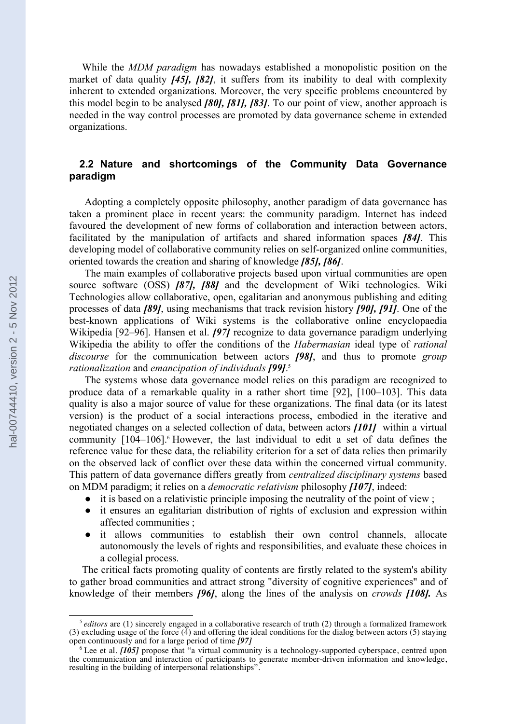While the *MDM paradigm* has nowadays established a monopolistic position on the market of data quality *[45], [82]*, it suffers from its inability to deal with complexity inherent to extended organizations. Moreover, the very specific problems encountered by this model begin to be analysed *[80], [81], [83]*. To our point of view, another approach is needed in the way control processes are promoted by data governance scheme in extended organizations.

## **2.2 Nature and shortcomings of the Community Data Governance paradigm**

 Adopting a completely opposite philosophy, another paradigm of data governance has taken a prominent place in recent years: the community paradigm. Internet has indeed favoured the development of new forms of collaboration and interaction between actors, facilitated by the manipulation of artifacts and shared information spaces *[84]*. This developing model of collaborative community relies on self-organized online communities, oriented towards the creation and sharing of knowledge *[85], [86]*.

 The main examples of collaborative projects based upon virtual communities are open source software (OSS) *[87], [88]* and the development of Wiki technologies. Wiki Technologies allow collaborative, open, egalitarian and anonymous publishing and editing processes of data *[89]*, using mechanisms that track revision history *[90], [91]*. One of the best-known applications of Wiki systems is the collaborative online encyclopaedia Wikipedia [92–96]. Hansen et al. *[97]* recognize to data governance paradigm underlying Wikipedia the ability to offer the conditions of the *Habermasian* ideal type of *rational discourse* for the communication between actors *[98]*, and thus to promote *group rationalization* and *emancipation of individuals [99]*. 5

 The systems whose data governance model relies on this paradigm are recognized to produce data of a remarkable quality in a rather short time [92], [100–103]. This data quality is also a major source of value for these organizations. The final data (or its latest version) is the product of a social interactions process, embodied in the iterative and negotiated changes on a selected collection of data, between actors *[101]* within a virtual community [104–106]. <sup>6</sup> However, the last individual to edit a set of data defines the reference value for these data, the reliability criterion for a set of data relies then primarily on the observed lack of conflict over these data within the concerned virtual community. This pattern of data governance differs greatly from *centralized disciplinary systems* based on MDM paradigm; it relies on a *democratic relativism* philosophy *[107]*, indeed:

- $\bullet$  it is based on a relativistic principle imposing the neutrality of the point of view;
- it ensures an egalitarian distribution of rights of exclusion and expression within affected communities ;
- it allows communities to establish their own control channels, allocate autonomously the levels of rights and responsibilities, and evaluate these choices in a collegial process.

The critical facts promoting quality of contents are firstly related to the system's ability to gather broad communities and attract strong "diversity of cognitive experiences" and of knowledge of their members *[96]*, along the lines of the analysis on *crowds [108].* As

<sup>&</sup>lt;sup>5</sup> editors are (1) sincerely engaged in a collaborative research of truth (2) through a formalized framework (3) excluding usage of the force (4) and offering the ideal conditions for the dialog between actors (5) staying open continuously and for a large period of time *[97]*

<sup>&</sup>lt;sup>6</sup> Lee et al. *[105]* propose that "a virtual community is a technology-supported cyberspace, centred upon the communication and interaction of participants to generate member-driven information and knowledge, resulting in the building of interpersonal relationships".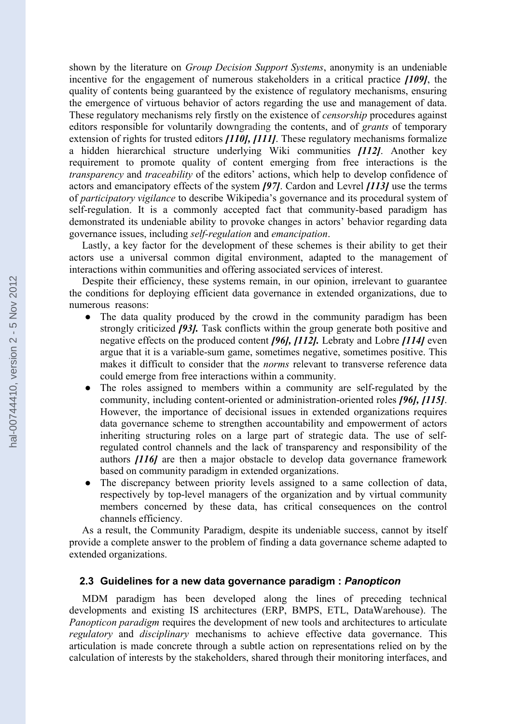shown by the literature on *Group Decision Support Systems*, anonymity is an undeniable incentive for the engagement of numerous stakeholders in a critical practice *[109]*, the quality of contents being guaranteed by the existence of regulatory mechanisms, ensuring the emergence of virtuous behavior of actors regarding the use and management of data. These regulatory mechanisms rely firstly on the existence of *censorship* procedures against editors responsible for voluntarily downgrading the contents, and of *grants* of temporary extension of rights for trusted editors *[110], [111]*. These regulatory mechanisms formalize a hidden hierarchical structure underlying Wiki communities *[112]*. Another key requirement to promote quality of content emerging from free interactions is the *transparency* and *traceability* of the editors' actions, which help to develop confidence of actors and emancipatory effects of the system *[97]*. Cardon and Levrel *[113]* use the terms of *participatory vigilance* to describe Wikipedia's governance and its procedural system of self-regulation. It is a commonly accepted fact that community-based paradigm has demonstrated its undeniable ability to provoke changes in actors' behavior regarding data governance issues, including *self-regulation* and *emancipation*.

Lastly, a key factor for the development of these schemes is their ability to get their actors use a universal common digital environment, adapted to the management of interactions within communities and offering associated services of interest.

Despite their efficiency, these systems remain, in our opinion, irrelevant to guarantee the conditions for deploying efficient data governance in extended organizations, due to numerous reasons:

- The data quality produced by the crowd in the community paradigm has been strongly criticized *[93].* Task conflicts within the group generate both positive and negative effects on the produced content *[96], [112].* Lebraty and Lobre *[114]* even argue that it is a variable-sum game, sometimes negative, sometimes positive. This makes it difficult to consider that the *norms* relevant to transverse reference data could emerge from free interactions within a community.
- The roles assigned to members within a community are self-regulated by the community, including content-oriented or administration-oriented roles *[96], [115]*. However, the importance of decisional issues in extended organizations requires data governance scheme to strengthen accountability and empowerment of actors inheriting structuring roles on a large part of strategic data. The use of selfregulated control channels and the lack of transparency and responsibility of the authors *[116]* are then a major obstacle to develop data governance framework based on community paradigm in extended organizations.
- The discrepancy between priority levels assigned to a same collection of data, respectively by top-level managers of the organization and by virtual community members concerned by these data, has critical consequences on the control channels efficiency.

As a result, the Community Paradigm, despite its undeniable success, cannot by itself provide a complete answer to the problem of finding a data governance scheme adapted to extended organizations.

## **2.3 Guidelines for a new data governance paradigm :** *Panopticon*

MDM paradigm has been developed along the lines of preceding technical developments and existing IS architectures (ERP, BMPS, ETL, DataWarehouse). The *Panopticon paradigm* requires the development of new tools and architectures to articulate *regulatory* and *disciplinary* mechanisms to achieve effective data governance. This articulation is made concrete through a subtle action on representations relied on by the calculation of interests by the stakeholders, shared through their monitoring interfaces, and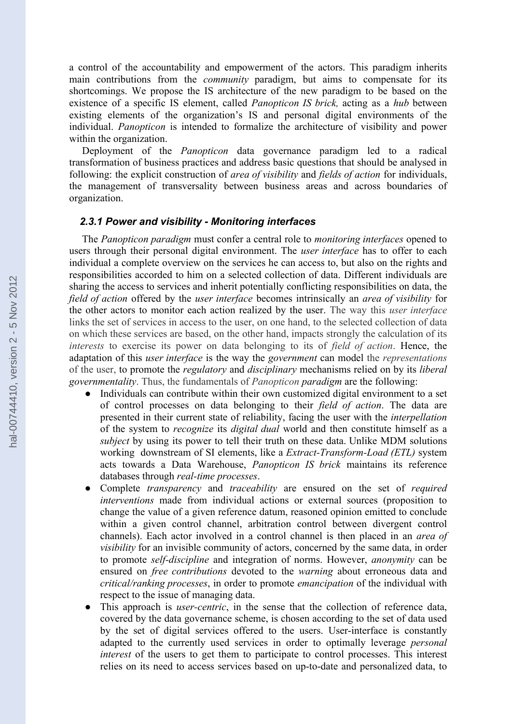a control of the accountability and empowerment of the actors. This paradigm inherits main contributions from the *community* paradigm, but aims to compensate for its shortcomings. We propose the IS architecture of the new paradigm to be based on the existence of a specific IS element, called *Panopticon IS brick,* acting as a *hub* between existing elements of the organization's IS and personal digital environments of the individual. *Panopticon* is intended to formalize the architecture of visibility and power within the organization.

Deployment of the *Panopticon* data governance paradigm led to a radical transformation of business practices and address basic questions that should be analysed in following: the explicit construction of *area of visibility* and *fields of action* for individuals, the management of transversality between business areas and across boundaries of organization.

## *2.3.1 Power and visibility - Monitoring interfaces*

The *Panopticon paradigm* must confer a central role to *monitoring interfaces* opened to users through their personal digital environment. The *user interface* has to offer to each individual a complete overview on the services he can access to, but also on the rights and responsibilities accorded to him on a selected collection of data. Different individuals are sharing the access to services and inherit potentially conflicting responsibilities on data, the *field of action* offered by the *user interface* becomes intrinsically an *area of visibility* for the other actors to monitor each action realized by the user. The way this *user interface* links the set of services in access to the user, on one hand, to the selected collection of data on which these services are based, on the other hand, impacts strongly the calculation of its *interests* to exercise its power on data belonging to its of *field of action*. Hence, the adaptation of this *user interface* is the way the *government* can model the *representations* of the user, to promote the *regulatory* and *disciplinary* mechanisms relied on by its *liberal governmentality*. Thus, the fundamentals of *Panopticon paradigm* are the following:

- Individuals can contribute within their own customized digital environment to a set of control processes on data belonging to their *field of action*. The data are presented in their current state of reliability, facing the user with the *interpellation*  of the system to *recognize* its *digital dual* world and then constitute himself as a *subject* by using its power to tell their truth on these data. Unlike MDM solutions working downstream of SI elements, like a *Extract-Transform-Load (ETL)* system acts towards a Data Warehouse, *Panopticon IS brick* maintains its reference databases through *real-time processes*.
- Complete *transparency* and *traceability* are ensured on the set of *required interventions* made from individual actions or external sources (proposition to change the value of a given reference datum, reasoned opinion emitted to conclude within a given control channel, arbitration control between divergent control channels). Each actor involved in a control channel is then placed in an *area of visibility* for an invisible community of actors, concerned by the same data, in order to promote *self-discipline* and integration of norms. However, *anonymity* can be ensured on *free contributions* devoted to the *warning* about erroneous data and *critical/ranking processes*, in order to promote *emancipation* of the individual with respect to the issue of managing data.
- This approach is *user-centric*, in the sense that the collection of reference data, covered by the data governance scheme, is chosen according to the set of data used by the set of digital services offered to the users. User-interface is constantly adapted to the currently used services in order to optimally leverage *personal interest* of the users to get them to participate to control processes. This interest relies on its need to access services based on up-to-date and personalized data, to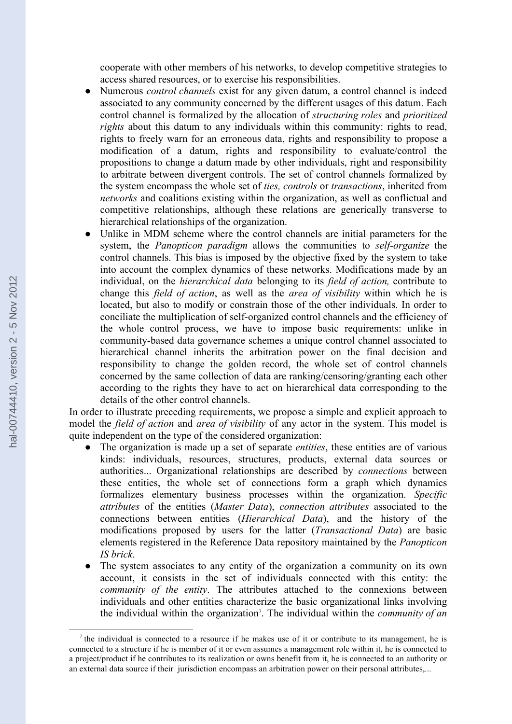cooperate with other members of his networks, to develop competitive strategies to access shared resources, or to exercise his responsibilities.

- Numerous *control channels* exist for any given datum, a control channel is indeed associated to any community concerned by the different usages of this datum. Each control channel is formalized by the allocation of *structuring roles* and *prioritized rights* about this datum to any individuals within this community: rights to read, rights to freely warn for an erroneous data, rights and responsibility to propose a modification of a datum, rights and responsibility to evaluate/control the propositions to change a datum made by other individuals, right and responsibility to arbitrate between divergent controls. The set of control channels formalized by the system encompass the whole set of *ties, controls* or *transactions*, inherited from *networks* and coalitions existing within the organization, as well as conflictual and competitive relationships, although these relations are generically transverse to hierarchical relationships of the organization.
- Unlike in MDM scheme where the control channels are initial parameters for the system, the *Panopticon paradigm* allows the communities to *self-organize* the control channels. This bias is imposed by the objective fixed by the system to take into account the complex dynamics of these networks. Modifications made by an individual, on the *hierarchical data* belonging to its *field of action,* contribute to change this *field of action*, as well as the *area of visibility* within which he is located, but also to modify or constrain those of the other individuals. In order to conciliate the multiplication of self-organized control channels and the efficiency of the whole control process, we have to impose basic requirements: unlike in community-based data governance schemes a unique control channel associated to hierarchical channel inherits the arbitration power on the final decision and responsibility to change the golden record, the whole set of control channels concerned by the same collection of data are ranking/censoring/granting each other according to the rights they have to act on hierarchical data corresponding to the details of the other control channels.

In order to illustrate preceding requirements, we propose a simple and explicit approach to model the *field of action* and *area of visibility* of any actor in the system. This model is quite independent on the type of the considered organization:

- The organization is made up a set of separate *entities*, these entities are of various kinds: individuals, resources, structures, products, external data sources or authorities... Organizational relationships are described by *connections* between these entities, the whole set of connections form a graph which dynamics formalizes elementary business processes within the organization. *Specific attributes* of the entities (*Master Data*), *connection attributes* associated to the connections between entities (*Hierarchical Data*), and the history of the modifications proposed by users for the latter (*Transactional Data*) are basic elements registered in the Reference Data repository maintained by the *Panopticon IS brick*.
- The system associates to any entity of the organization a community on its own account, it consists in the set of individuals connected with this entity: the *community of the entity*. The attributes attached to the connexions between individuals and other entities characterize the basic organizational links involving the individual within the organization<sup>7</sup>. The individual within the *community of an*

 

 $<sup>7</sup>$  the individual is connected to a resource if he makes use of it or contribute to its management, he is</sup> connected to a structure if he is member of it or even assumes a management role within it, he is connected to a project/product if he contributes to its realization or owns benefit from it, he is connected to an authority or an external data source if their jurisdiction encompass an arbitration power on their personal attributes,...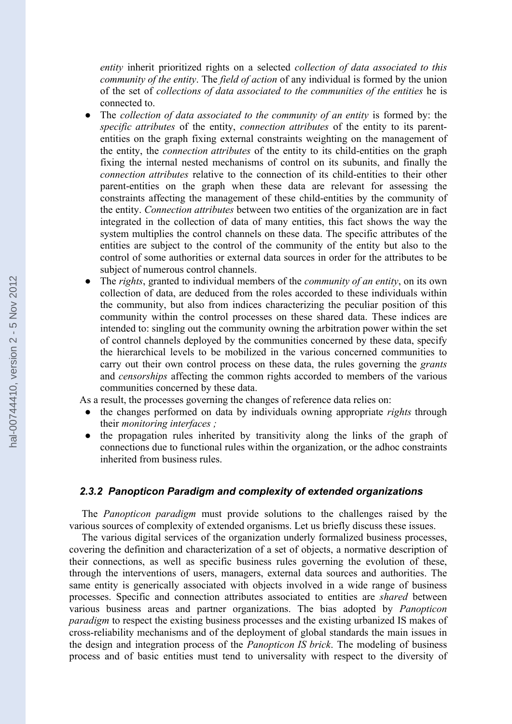*entity* inherit prioritized rights on a selected *collection of data associated to this community of the entity*. The *field of action* of any individual is formed by the union of the set of *collections of data associated to the communities of the entities* he is connected to.

- The *collection of data associated to the community of an entity* is formed by: the *specific attributes* of the entity, *connection attributes* of the entity to its parententities on the graph fixing external constraints weighting on the management of the entity, the *connection attributes* of the entity to its child-entities on the graph fixing the internal nested mechanisms of control on its subunits, and finally the *connection attributes* relative to the connection of its child-entities to their other parent-entities on the graph when these data are relevant for assessing the constraints affecting the management of these child-entities by the community of the entity. *Connection attributes* between two entities of the organization are in fact integrated in the collection of data of many entities, this fact shows the way the system multiplies the control channels on these data. The specific attributes of the entities are subject to the control of the community of the entity but also to the control of some authorities or external data sources in order for the attributes to be subject of numerous control channels.
- The *rights*, granted to individual members of the *community of an entity*, on its own collection of data, are deduced from the roles accorded to these individuals within the community, but also from indices characterizing the peculiar position of this community within the control processes on these shared data. These indices are intended to: singling out the community owning the arbitration power within the set of control channels deployed by the communities concerned by these data, specify the hierarchical levels to be mobilized in the various concerned communities to carry out their own control process on these data, the rules governing the *grants* and *censorships* affecting the common rights accorded to members of the various communities concerned by these data.

As a result, the processes governing the changes of reference data relies on:

- the changes performed on data by individuals owning appropriate *rights* through their *monitoring interfaces ;*
- the propagation rules inherited by transitivity along the links of the graph of connections due to functional rules within the organization, or the adhoc constraints inherited from business rules.

#### *2.3.2 Panopticon Paradigm and complexity of extended organizations*

The *Panopticon paradigm* must provide solutions to the challenges raised by the various sources of complexity of extended organisms. Let us briefly discuss these issues.

The various digital services of the organization underly formalized business processes, covering the definition and characterization of a set of objects, a normative description of their connections, as well as specific business rules governing the evolution of these, through the interventions of users, managers, external data sources and authorities. The same entity is generically associated with objects involved in a wide range of business processes. Specific and connection attributes associated to entities are *shared* between various business areas and partner organizations. The bias adopted by *Panopticon paradigm* to respect the existing business processes and the existing urbanized IS makes of cross-reliability mechanisms and of the deployment of global standards the main issues in the design and integration process of the *Panopticon IS brick*. The modeling of business process and of basic entities must tend to universality with respect to the diversity of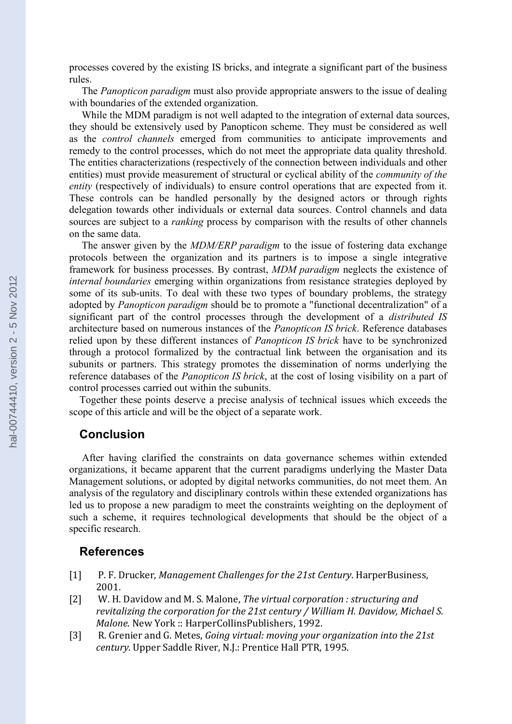processes covered by the existing IS bricks, and integrate a significant part of the business rules.

The *Panopticon paradigm* must also provide appropriate answers to the issue of dealing with boundaries of the extended organization.

While the MDM paradigm is not well adapted to the integration of external data sources, they should be extensively used by Panopticon scheme. They must be considered as well as the *control channels* emerged from communities to anticipate improvements and remedy to the control processes, which do not meet the appropriate data quality threshold. The entities characterizations (respectively of the connection between individuals and other entities) must provide measurement of structural or cyclical ability of the *community of the entity* (respectively of individuals) to ensure control operations that are expected from it. These controls can be handled personally by the designed actors or through rights delegation towards other individuals or external data sources. Control channels and data sources are subject to a *ranking* process by comparison with the results of other channels on the same data.

The answer given by the *MDM/ERP paradigm* to the issue of fostering data exchange protocols between the organization and its partners is to impose a single integrative framework for business processes. By contrast, *MDM paradigm* neglects the existence of *internal boundaries* emerging within organizations from resistance strategies deployed by some of its sub-units. To deal with these two types of boundary problems, the strategy adopted by *Panopticon paradigm* should be to promote a "functional decentralization" of a significant part of the control processes through the development of a *distributed IS* architecture based on numerous instances of the *Panopticon IS brick*. Reference databases relied upon by these different instances of *Panopticon IS brick* have to be synchronized through a protocol formalized by the contractual link between the organisation and its subunits or partners. This strategy promotes the dissemination of norms underlying the reference databases of the *Panopticon IS brick*, at the cost of losing visibility on a part of control processes carried out within the subunits.

Together these points deserve a precise analysis of technical issues which exceeds the scope of this article and will be the object of a separate work.

# **Conclusion**

After having clarified the constraints on data governance schemes within extended organizations, it became apparent that the current paradigms underlying the Master Data Management solutions, or adopted by digital networks communities, do not meet them. An analysis of the regulatory and disciplinary controls within these extended organizations has led us to propose a new paradigm to meet the constraints weighting on the deployment of such a scheme, it requires technological developments that should be the object of a specific research.

## **References**

- [1] P. F. Drucker, *Management Challenges for the 21st Century*. HarperBusiness, 2001.
- [2] W. H. Davidow and M. S. Malone, *The virtual corporation : structuring and revitalizing the corporation for the 21st century / William H. Davidow, Michael S. Malone*. New York :: HarperCollinsPublishers, 1992.
- [3] R. Grenier and G. Metes, *Going virtual: moving your organization into the 21st century*. Upper Saddle River, N.J.: Prentice Hall PTR, 1995.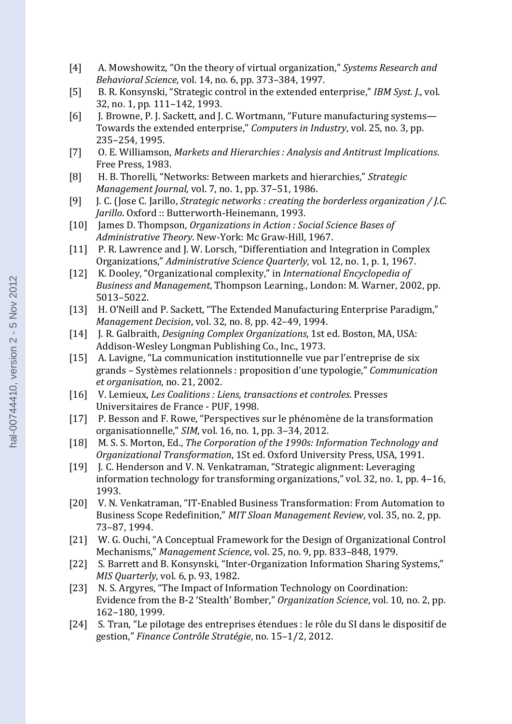- [4] A. Mowshowitz, "On the theory of virtual organization," *Systems Research and Behavioral Science*, vol. 14, no. 6, pp. 373–384, 1997.
- [5] B. R. Konsynski, "Strategic control in the extended enterprise," *IBM Syst. J.*, vol. 32, no. 1, pp. 111-142, 1993.
- [6] J. Browne, P. J. Sackett, and J. C. Wortmann, "Future manufacturing systems— Towards the extended enterprise," *Computers in Industry*, vol. 25, no. 3, pp. 235–254, 1995.
- [7] O. E. Williamson, *Markets and Hierarchies : Analysis and Antitrust Implications.* Free Press, 1983.
- [8] H. B. Thorelli, "Networks: Between markets and hierarchies," Strategic *Management Journal, vol.* 7, no. 1, pp. 37-51, 1986.
- [9] J. C. (Jose C. Jarillo, *Strategic networks* : *creating the borderless organization* / *J.C. Jarillo*. Oxford :: Butterworth-Heinemann, 1993.
- [10] James D. Thompson, *Organizations in Action : Social Science Bases of Administrative Theory*. New-York: Mc Graw-Hill, 1967.
- [11] P. R. Lawrence and J. W. Lorsch, "Differentiation and Integration in Complex Organizations," *Administrative Science Quarterly*, vol. 12, no. 1, p. 1, 1967.
- [12] K. Dooley, "Organizational complexity," in *International Encyclopedia of Business and Management*, Thompson Learning., London: M. Warner, 2002, pp. 5013–5022.
- [13] H. O'Neill and P. Sackett, "The Extended Manufacturing Enterprise Paradigm," *Management Decision, vol.* 32, no. 8, pp. 42-49, 1994.
- [14] J. R. Galbraith, *Designing Complex Organizations*, 1st ed. Boston, MA, USA: Addison-Wesley Longman Publishing Co., Inc., 1973.
- [15] A. Lavigne, "La communication institutionnelle vue par l'entreprise de six grands - Systèmes relationnels : proposition d'une typologie," *Communication et organisation*, no. 21, 2002.
- [16] V. Lemieux, *Les Coalitions : Liens, transactions et controles*. Presses Universitaires de France - PUF, 1998.
- [17] P. Besson and F. Rowe, "Perspectives sur le phénomène de la transformation organisationnelle," *SIM*, vol. 16, no. 1, pp. 3-34, 2012.
- [18] M. S. S. Morton, Ed., *The Corporation of the 1990s: Information Technology and Organizational Transformation*, 1St ed. Oxford University Press, USA, 1991.
- [19] J. C. Henderson and V. N. Venkatraman, "Strategic alignment: Leveraging information technology for transforming organizations," vol. 32, no. 1, pp. 4-16, 1993.
- [20] V. N. Venkatraman, "IT-Enabled Business Transformation: From Automation to Business Scope Redefinition," *MIT Sloan Management Review*, vol. 35, no. 2, pp. 73–87, 1994.
- [21] W. G. Ouchi, "A Conceptual Framework for the Design of Organizational Control Mechanisms," *Management Science*, vol. 25, no. 9, pp. 833–848, 1979.
- [22] S. Barrett and B. Konsynski, "Inter-Organization Information Sharing Systems," *MIS Quarterly*, vol. 6, p. 93, 1982.
- [23] N. S. Argyres, "The Impact of Information Technology on Coordination: Evidence from the B-2 'Stealth' Bomber," *Organization Science*, vol. 10, no. 2, pp. 162–180, 1999.
- [24] S. Tran, "Le pilotage des entreprises étendues : le rôle du SI dans le dispositif de gestion," Finance Contrôle Stratégie, no. 15-1/2, 2012.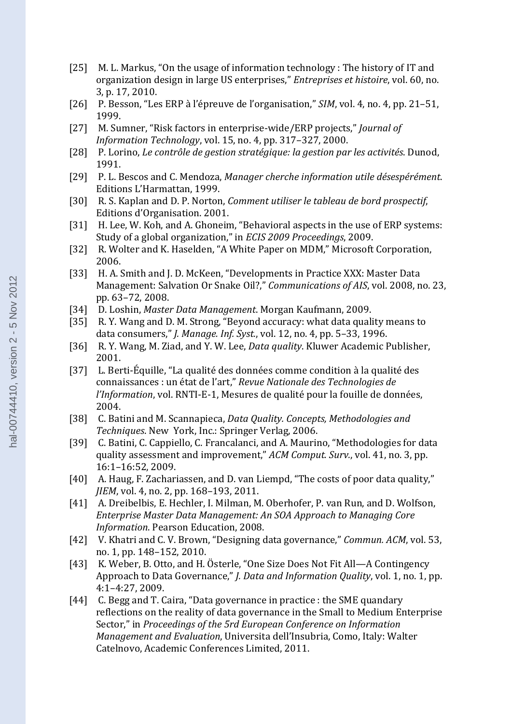- [25] M. L. Markus, "On the usage of information technology : The history of IT and organization design in large US enterprises," *Entreprises et histoire*, vol. 60, no. 3, p. 17, 2010.
- [26] P. Besson, "Les ERP à l'épreuve de l'organisation," *SIM*, vol. 4, no. 4, pp. 21–51, 1999.
- [27] M. Sumner, "Risk factors in enterprise-wide/ERP projects," *Journal of Information Technology*, vol. 15, no. 4, pp. 317-327, 2000.
- [28] P. Lorino, *Le contrôle de gestion stratégique: la gestion par les activités*. Dunod, 1991.
- [29] P. L. Bescos and C. Mendoza, *Manager cherche information utile désespérément*. Editions L'Harmattan, 1999.
- [30] R. S. Kaplan and D. P. Norton, *Comment utiliser le tableau de bord prospectif*, Editions d'Organisation. 2001.
- [31] H. Lee, W. Koh, and A. Ghoneim, "Behavioral aspects in the use of ERP systems: Study of a global organization," in *ECIS* 2009 Proceedings, 2009.
- [32] R. Wolter and K. Haselden, "A White Paper on MDM," Microsoft Corporation, 2006.
- [33] H. A. Smith and J. D. McKeen, "Developments in Practice XXX: Master Data Management: Salvation Or Snake Oil?," *Communications of AIS*, vol. 2008, no. 23, pp. 63–72, 2008.
- [34] D. Loshin, Master Data Management. Morgan Kaufmann, 2009.
- [35] R. Y. Wang and D. M. Strong, "Beyond accuracy: what data quality means to data consumers," *J. Manage. Inf. Syst.*, vol. 12, no. 4, pp. 5-33, 1996.
- [36] R. Y. Wang, M. Ziad, and Y. W. Lee, *Data quality*. Kluwer Academic Publisher, 2001.
- [37] L. Berti-Équille, "La qualité des données comme condition à la qualité des connaissances : un état de l'art," *Revue Nationale des Technologies de l'Information*, vol. RNTI-E-1, Mesures de qualité pour la fouille de données, 2004.
- [38] C. Batini and M. Scannapieca, *Data Quality. Concepts, Methodologies and Techniques*. New York, Inc.: Springer Verlag, 2006.
- [39] C. Batini, C. Cappiello, C. Francalanci, and A. Maurino, "Methodologies for data quality assessment and improvement," ACM Comput. Surv., vol. 41, no. 3, pp. 16:1–16:52, 2009.
- [40] A. Haug, F. Zachariassen, and D. van Liempd, "The costs of poor data quality," *JIEM*, vol. 4, no. 2, pp. 168–193, 2011.
- [41] A. Dreibelbis, E. Hechler, I. Milman, M. Oberhofer, P. van Run, and D. Wolfson, *Enterprise Master Data Management: An SOA Approach to Managing Core Information*. Pearson Education, 2008.
- [42] V. Khatri and C. V. Brown, "Designing data governance," *Commun. ACM*, vol. 53, no. 1, pp. 148-152, 2010.
- [43] K. Weber, B. Otto, and H. Österle, "One Size Does Not Fit All—A Contingency Approach to Data Governance," *J. Data and Information Quality*, vol. 1, no. 1, pp. 4:1–4:27, 2009.
- [44] C. Begg and T. Caira, "Data governance in practice : the SME quandary reflections on the reality of data governance in the Small to Medium Enterprise Sector," in *Proceedings of the 5rd European Conference on Information Management and Evaluation*, Universita dell'Insubria, Como, Italy: Walter Catelnovo, Academic Conferences Limited, 2011.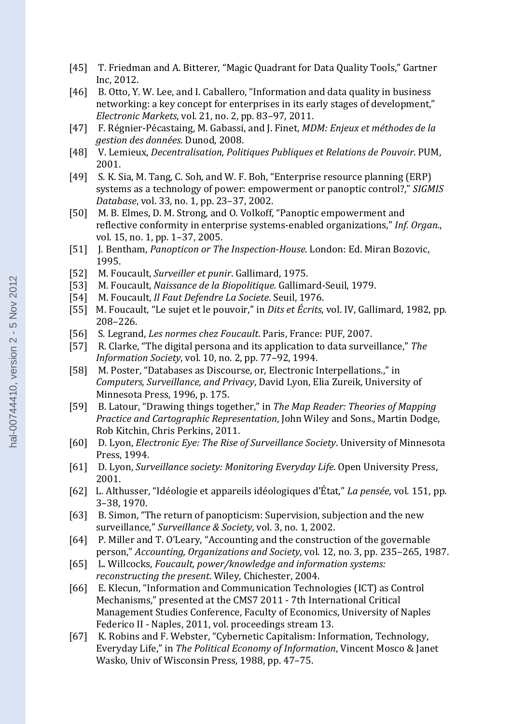- [45] T. Friedman and A. Bitterer, "Magic Quadrant for Data Quality Tools," Gartner Inc, 2012.
- [46] B. Otto, Y. W. Lee, and I. Caballero, "Information and data quality in business networking: a key concept for enterprises in its early stages of development," *Electronic Markets*, vol. 21, no. 2, pp. 83-97, 2011.
- [47] F. Régnier-Pécastaing, M. Gabassi, and J. Finet, *MDM: Enjeux et méthodes de la gestion des données*. Dunod, 2008.
- [48] V. Lemieux, *Decentralisation, Politiques Publiques et Relations de Pouvoir*. PUM, 2001.
- [49] S. K. Sia, M. Tang, C. Soh, and W. F. Boh, "Enterprise resource planning (ERP) systems as a technology of power: empowerment or panoptic control?," SIGMIS *Database*, vol. 33, no. 1, pp. 23-37, 2002.
- [50] M. B. Elmes, D. M. Strong, and O. Volkoff, "Panoptic empowerment and reflective conformity in enterprise systems-enabled organizations," Inf. Organ., vol. 15, no. 1, pp. 1-37, 2005.
- [51] J. Bentham, *Panopticon or The Inspection-House*. London: Ed. Miran Bozovic, 1995.
- [52] M. Foucault, *Surveiller et punir*. Gallimard, 1975.
- [53] M. Foucault, *Naissance de la Biopolitique.* Gallimard-Seuil, 1979.
- [54] M. Foucault, *Il Faut Defendre La Societe*. Seuil, 1976.
- [55] M. Foucault, "Le sujet et le pouvoir," in *Dits et Écrits*, vol. IV, Gallimard, 1982, pp. 208–226.
- [56] S. Legrand, *Les normes chez Foucault*. Paris, France: PUF, 2007.
- [57] R. Clarke, "The digital persona and its application to data surveillance," The *Information Society*, vol. 10, no. 2, pp. 77-92, 1994.
- [58] M. Poster, "Databases as Discourse, or, Electronic Interpellations.," in *Computers, Surveillance, and Privacy, David Lyon, Elia Zureik, University of* Minnesota Press, 1996, p. 175.
- [59] B. Latour, "Drawing things together," in *The Map Reader: Theories of Mapping Practice and Cartographic Representation*, John Wiley and Sons., Martin Dodge, Rob Kitchin, Chris Perkins, 2011.
- [60] D. Lyon, *Electronic Eye: The Rise of Surveillance Society*. University of Minnesota Press, 1994.
- [61] D. Lyon, *Surveillance society: Monitoring Everyday Life*. Open University Press, 2001.
- [62] L. Althusser, "Idéologie et appareils idéologiques d'État," *La pensée*, vol. 151, pp. 3–38, 1970.
- [63] B. Simon, "The return of panopticism: Supervision, subjection and the new surveillance," Surveillance & Society, vol. 3, no. 1, 2002.
- [64] P. Miller and T. O'Leary, "Accounting and the construction of the governable person," *Accounting, Organizations and Society*, vol. 12, no. 3, pp. 235–265, 1987.
- [65] L. Willcocks, *Foucault, power/knowledge and information systems: reconstructing the present*. Wiley, Chichester, 2004.
- [66] E. Klecun, "Information and Communication Technologies (ICT) as Control Mechanisms," presented at the CMS7 2011 - 7th International Critical Management Studies Conference, Faculty of Economics, University of Naples Federico II - Naples, 2011, vol. proceedings stream 13.
- [67] K. Robins and F. Webster, "Cybernetic Capitalism: Information, Technology, Everyday Life," in *The Political Economy of Information*, Vincent Mosco & Janet Wasko, Univ of Wisconsin Press, 1988, pp. 47-75.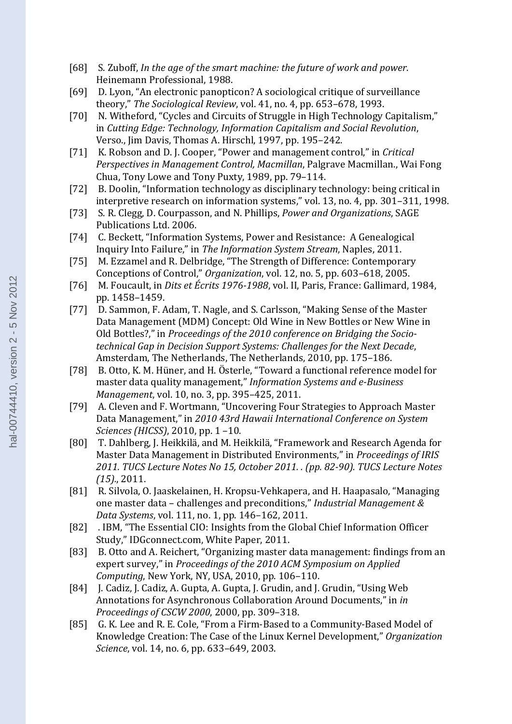- [68] S. Zuboff, *In the age of the smart machine: the future of work and power.* Heinemann Professional, 1988.
- [69] D. Lyon, "An electronic panopticon? A sociological critique of surveillance theory," The Sociological Review, vol. 41, no. 4, pp. 653-678, 1993.
- [70] N. Witheford, "Cycles and Circuits of Struggle in High Technology Capitalism," in *Cutting Edge: Technology, Information Capitalism and Social Revolution*, Verso., Jim Davis, Thomas A. Hirschl, 1997, pp. 195-242.
- [71] K. Robson and D. J. Cooper, "Power and management control," in *Critical Perspectives in Management Control, Macmillan*, Palgrave Macmillan., Wai Fong Chua, Tony Lowe and Tony Puxty, 1989, pp. 79-114.
- [72] B. Doolin, "Information technology as disciplinary technology: being critical in interpretive research on information systems," vol. 13, no. 4, pp. 301-311, 1998.
- [73] S. R. Clegg, D. Courpasson, and N. Phillips, *Power and Organizations*, SAGE Publications Ltd. 2006.
- [74] C. Beckett, "Information Systems, Power and Resistance: A Genealogical Inquiry Into Failure," in *The Information System Stream*, Naples, 2011.
- [75] M. Ezzamel and R. Delbridge, "The Strength of Difference: Contemporary Conceptions of Control," *Organization*, vol. 12, no. 5, pp. 603–618, 2005.
- [76] M. Foucault, in *Dits et Écrits* 1976-1988, vol. II, Paris, France: Gallimard, 1984, pp. 1458–1459.
- [77] D. Sammon, F. Adam, T. Nagle, and S. Carlsson, "Making Sense of the Master Data Management (MDM) Concept: Old Wine in New Bottles or New Wine in Old Bottles?," in *Proceedings of the 2010 conference on Bridging the Sociotechnical Gap in Decision Support Systems: Challenges for the Next Decade,* Amsterdam, The Netherlands, The Netherlands, 2010, pp. 175-186.
- [78] B. Otto, K. M. Hüner, and H. Österle, "Toward a functional reference model for master data quality management," *Information Systems and e-Business Management, vol.* 10, no. 3, pp. 395-425, 2011.
- [79] A. Cleven and F. Wortmann, "Uncovering Four Strategies to Approach Master Data Management," in 2010 43rd Hawaii International Conference on System *Sciences (HICSS)*, 2010, pp. 1 -10.
- [80] T. Dahlberg, J. Heikkilä, and M. Heikkilä, "Framework and Research Agenda for Master Data Management in Distributed Environments," in *Proceedings of IRIS* 2011. TUCS Lecture Notes No 15, October 2011. . (pp. 82-90). TUCS Lecture Notes *(15).*, 2011.
- [81] R. Silvola, O. Jaaskelainen, H. Kropsu-Vehkapera, and H. Haapasalo, "Managing one master data – challenges and preconditions," *Industrial Management & Data Systems, vol.* 111, no. 1, pp. 146-162, 2011.
- [82] . IBM, "The Essential CIO: Insights from the Global Chief Information Officer Study," IDGconnect.com, White Paper, 2011.
- [83] B. Otto and A. Reichert, "Organizing master data management: findings from an expert survey," in *Proceedings of the 2010 ACM Symposium on Applied Computing*, New York, NY, USA, 2010, pp. 106-110.
- [84] J. Cadiz, J. Cadiz, A. Gupta, A. Gupta, J. Grudin, and J. Grudin, "Using Web Annotations for Asynchronous Collaboration Around Documents," in *in Proceedings of CSCW 2000*, 2000, pp. 309–318.
- [85] G. K. Lee and R. E. Cole, "From a Firm-Based to a Community-Based Model of Knowledge Creation: The Case of the Linux Kernel Development," Organization *Science*, vol. 14, no. 6, pp. 633-649, 2003.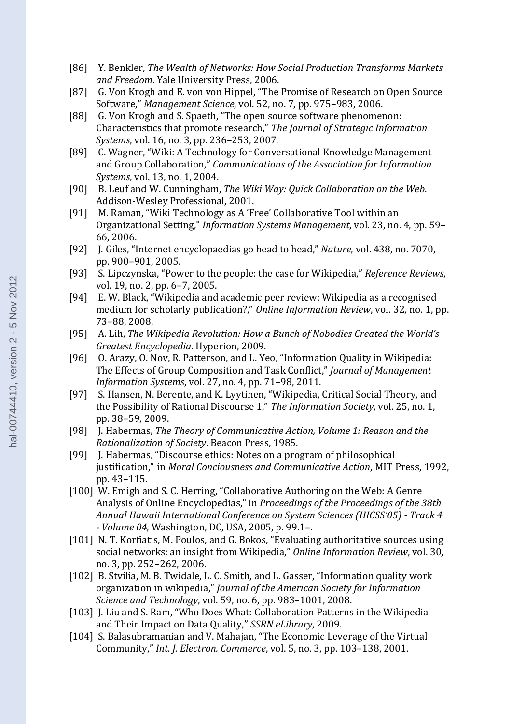- [86] Y. Benkler, *The Wealth of Networks: How Social Production Transforms Markets* and Freedom. Yale University Press, 2006.
- [87] G. Von Krogh and E. von von Hippel, "The Promise of Research on Open Source Software," *Management Science*, vol. 52, no. 7, pp. 975-983, 2006.
- [88] G. Von Krogh and S. Spaeth, "The open source software phenomenon: Characteristics that promote research," The Journal of Strategic Information *Systems*, vol. 16, no. 3, pp. 236–253, 2007.
- [89] C. Wagner, "Wiki: A Technology for Conversational Knowledge Management and Group Collaboration," *Communications of the Association for Information Systems*, vol. 13, no. 1, 2004.
- [90] B. Leuf and W. Cunningham, *The Wiki Way: Quick Collaboration on the Web*. Addison-Wesley Professional, 2001.
- [91] M. Raman, "Wiki Technology as A 'Free' Collaborative Tool within an Organizational Setting," *Information Systems Management*, vol. 23, no. 4, pp. 59– 66, 2006.
- [92] J. Giles, "Internet encyclopaedias go head to head," *Nature*, vol. 438, no. 7070, pp. 900–901, 2005.
- [93] S. Lipczynska, "Power to the people: the case for Wikipedia," *Reference Reviews*, vol. 19, no. 2, pp. 6-7, 2005.
- [94] E. W. Black, "Wikipedia and academic peer review: Wikipedia as a recognised medium for scholarly publication?," Online Information Review, vol. 32, no. 1, pp. 73–88, 2008.
- [95] A. Lih, *The Wikipedia Revolution: How a Bunch of Nobodies Created the World's Greatest Encyclopedia*. Hyperion, 2009.
- [96] O. Arazy, O. Nov, R. Patterson, and L. Yeo, "Information Quality in Wikipedia: The Effects of Group Composition and Task Conflict," *Journal of Management Information Systems, vol.* 27, no. 4, pp. 71-98, 2011.
- [97] S. Hansen, N. Berente, and K. Lyytinen, "Wikipedia, Critical Social Theory, and the Possibility of Rational Discourse 1," The Information Society, vol. 25, no. 1, pp. 38–59, 2009.
- [98] J. Habermas, *The Theory of Communicative Action, Volume 1: Reason and the Rationalization of Society*. Beacon Press, 1985.
- [99] J. Habermas, "Discourse ethics: Notes on a program of philosophical justification," in *Moral Conciousness and Communicative Action*, MIT Press, 1992, pp. 43–115.
- [100] W. Emigh and S. C. Herring, "Collaborative Authoring on the Web: A Genre Analysis of Online Encyclopedias," in *Proceedings of the Proceedings of the 38th Annual Hawaii International Conference on System Sciences (HICSS'05) - Track 4 - Volume 04*, Washington, DC, USA, 2005, p. 99.1–.
- [101] N. T. Korfiatis, M. Poulos, and G. Bokos, "Evaluating authoritative sources using social networks: an insight from Wikipedia," Online Information Review, vol. 30, no. 3, pp. 252-262, 2006.
- [102] B. Stvilia, M. B. Twidale, L. C. Smith, and L. Gasser, "Information quality work organization in wikipedia," *Journal of the American Society for Information Science and Technology*, vol. 59, no. 6, pp. 983–1001, 2008.
- [103] J. Liu and S. Ram, "Who Does What: Collaboration Patterns in the Wikipedia and Their Impact on Data Quality," *SSRN eLibrary*, 2009.
- [104] S. Balasubramanian and V. Mahajan, "The Economic Leverage of the Virtual Community," *Int. J. Electron. Commerce*, vol. 5, no. 3, pp. 103-138, 2001.